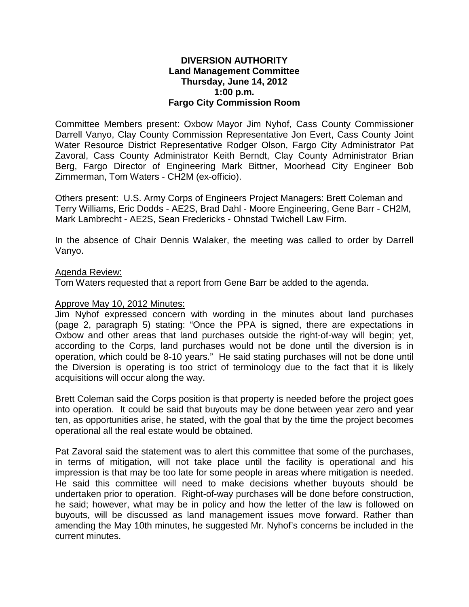# **DIVERSION AUTHORITY Land Management Committee Thursday, June 14, 2012 1:00 p.m. Fargo City Commission Room**

Committee Members present: Oxbow Mayor Jim Nyhof, Cass County Commissioner Darrell Vanyo, Clay County Commission Representative Jon Evert, Cass County Joint Water Resource District Representative Rodger Olson, Fargo City Administrator Pat Zavoral, Cass County Administrator Keith Berndt, Clay County Administrator Brian Berg, Fargo Director of Engineering Mark Bittner, Moorhead City Engineer Bob Zimmerman, Tom Waters - CH2M (ex-officio).

Others present: U.S. Army Corps of Engineers Project Managers: Brett Coleman and Terry Williams, Eric Dodds - AE2S, Brad Dahl - Moore Engineering, Gene Barr - CH2M, Mark Lambrecht - AE2S, Sean Fredericks - Ohnstad Twichell Law Firm.

In the absence of Chair Dennis Walaker, the meeting was called to order by Darrell Vanyo.

# Agenda Review:

Tom Waters requested that a report from Gene Barr be added to the agenda.

#### Approve May 10, 2012 Minutes:

Jim Nyhof expressed concern with wording in the minutes about land purchases (page 2, paragraph 5) stating: "Once the PPA is signed, there are expectations in Oxbow and other areas that land purchases outside the right-of-way will begin; yet, according to the Corps, land purchases would not be done until the diversion is in operation, which could be 8-10 years." He said stating purchases will not be done until the Diversion is operating is too strict of terminology due to the fact that it is likely acquisitions will occur along the way.

Brett Coleman said the Corps position is that property is needed before the project goes into operation. It could be said that buyouts may be done between year zero and year ten, as opportunities arise, he stated, with the goal that by the time the project becomes operational all the real estate would be obtained.

Pat Zavoral said the statement was to alert this committee that some of the purchases, in terms of mitigation, will not take place until the facility is operational and his impression is that may be too late for some people in areas where mitigation is needed. He said this committee will need to make decisions whether buyouts should be undertaken prior to operation. Right-of-way purchases will be done before construction, he said; however, what may be in policy and how the letter of the law is followed on buyouts, will be discussed as land management issues move forward. Rather than amending the May 10th minutes, he suggested Mr. Nyhof's concerns be included in the current minutes.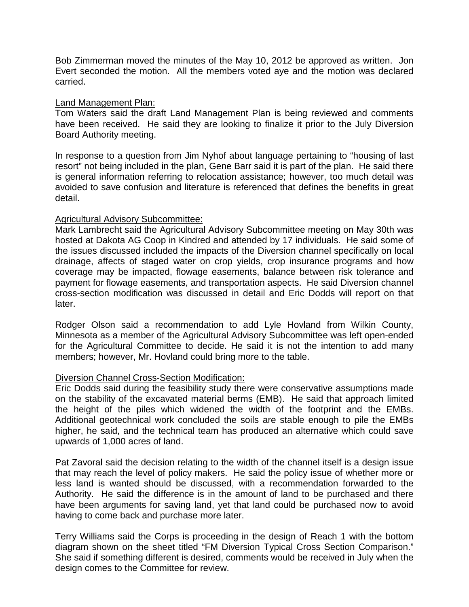Bob Zimmerman moved the minutes of the May 10, 2012 be approved as written. Jon Evert seconded the motion. All the members voted aye and the motion was declared carried.

#### Land Management Plan:

Tom Waters said the draft Land Management Plan is being reviewed and comments have been received. He said they are looking to finalize it prior to the July Diversion Board Authority meeting.

In response to a question from Jim Nyhof about language pertaining to "housing of last resort" not being included in the plan, Gene Barr said it is part of the plan. He said there is general information referring to relocation assistance; however, too much detail was avoided to save confusion and literature is referenced that defines the benefits in great detail.

#### Agricultural Advisory Subcommittee:

Mark Lambrecht said the Agricultural Advisory Subcommittee meeting on May 30th was hosted at Dakota AG Coop in Kindred and attended by 17 individuals. He said some of the issues discussed included the impacts of the Diversion channel specifically on local drainage, affects of staged water on crop yields, crop insurance programs and how coverage may be impacted, flowage easements, balance between risk tolerance and payment for flowage easements, and transportation aspects. He said Diversion channel cross-section modification was discussed in detail and Eric Dodds will report on that later.

Rodger Olson said a recommendation to add Lyle Hovland from Wilkin County, Minnesota as a member of the Agricultural Advisory Subcommittee was left open-ended for the Agricultural Committee to decide. He said it is not the intention to add many members; however, Mr. Hovland could bring more to the table.

#### Diversion Channel Cross-Section Modification:

Eric Dodds said during the feasibility study there were conservative assumptions made on the stability of the excavated material berms (EMB). He said that approach limited the height of the piles which widened the width of the footprint and the EMBs. Additional geotechnical work concluded the soils are stable enough to pile the EMBs higher, he said, and the technical team has produced an alternative which could save upwards of 1,000 acres of land.

Pat Zavoral said the decision relating to the width of the channel itself is a design issue that may reach the level of policy makers. He said the policy issue of whether more or less land is wanted should be discussed, with a recommendation forwarded to the Authority. He said the difference is in the amount of land to be purchased and there have been arguments for saving land, yet that land could be purchased now to avoid having to come back and purchase more later.

Terry Williams said the Corps is proceeding in the design of Reach 1 with the bottom diagram shown on the sheet titled "FM Diversion Typical Cross Section Comparison." She said if something different is desired, comments would be received in July when the design comes to the Committee for review.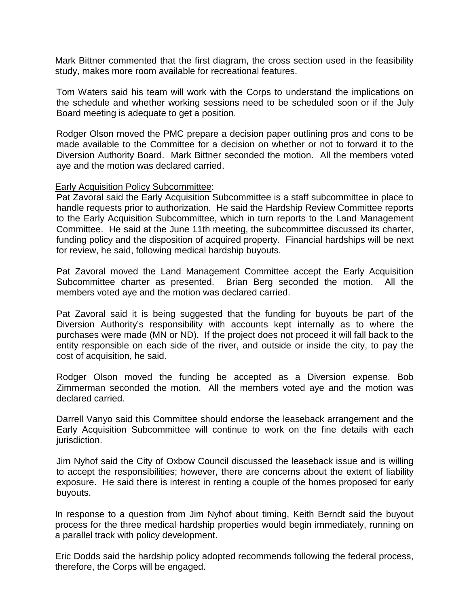Mark Bittner commented that the first diagram, the cross section used in the feasibility study, makes more room available for recreational features.

Tom Waters said his team will work with the Corps to understand the implications on the schedule and whether working sessions need to be scheduled soon or if the July Board meeting is adequate to get a position.

Rodger Olson moved the PMC prepare a decision paper outlining pros and cons to be made available to the Committee for a decision on whether or not to forward it to the Diversion Authority Board. Mark Bittner seconded the motion. All the members voted aye and the motion was declared carried.

#### Early Acquisition Policy Subcommittee:

Pat Zavoral said the Early Acquisition Subcommittee is a staff subcommittee in place to handle requests prior to authorization. He said the Hardship Review Committee reports to the Early Acquisition Subcommittee, which in turn reports to the Land Management Committee. He said at the June 11th meeting, the subcommittee discussed its charter, funding policy and the disposition of acquired property. Financial hardships will be next for review, he said, following medical hardship buyouts.

Pat Zavoral moved the Land Management Committee accept the Early Acquisition Subcommittee charter as presented. Brian Berg seconded the motion. All the members voted aye and the motion was declared carried.

Pat Zavoral said it is being suggested that the funding for buyouts be part of the Diversion Authority's responsibility with accounts kept internally as to where the purchases were made (MN or ND). If the project does not proceed it will fall back to the entity responsible on each side of the river, and outside or inside the city, to pay the cost of acquisition, he said.

Rodger Olson moved the funding be accepted as a Diversion expense. Bob Zimmerman seconded the motion. All the members voted aye and the motion was declared carried.

Darrell Vanyo said this Committee should endorse the leaseback arrangement and the Early Acquisition Subcommittee will continue to work on the fine details with each jurisdiction.

Jim Nyhof said the City of Oxbow Council discussed the leaseback issue and is willing to accept the responsibilities; however, there are concerns about the extent of liability exposure. He said there is interest in renting a couple of the homes proposed for early buyouts.

In response to a question from Jim Nyhof about timing, Keith Berndt said the buyout process for the three medical hardship properties would begin immediately, running on a parallel track with policy development.

Eric Dodds said the hardship policy adopted recommends following the federal process, therefore, the Corps will be engaged.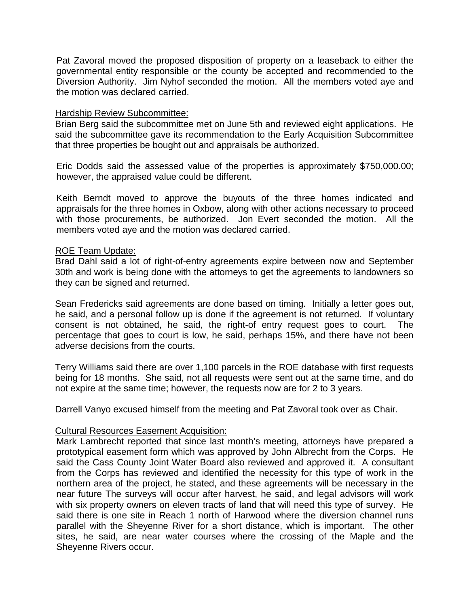Pat Zavoral moved the proposed disposition of property on a leaseback to either the governmental entity responsible or the county be accepted and recommended to the Diversion Authority. Jim Nyhof seconded the motion. All the members voted aye and the motion was declared carried.

# Hardship Review Subcommittee:

Brian Berg said the subcommittee met on June 5th and reviewed eight applications. He said the subcommittee gave its recommendation to the Early Acquisition Subcommittee that three properties be bought out and appraisals be authorized.

Eric Dodds said the assessed value of the properties is approximately \$750,000.00; however, the appraised value could be different.

Keith Berndt moved to approve the buyouts of the three homes indicated and appraisals for the three homes in Oxbow, along with other actions necessary to proceed with those procurements, be authorized. Jon Evert seconded the motion. All the members voted aye and the motion was declared carried.

#### ROE Team Update:

Brad Dahl said a lot of right-of-entry agreements expire between now and September 30th and work is being done with the attorneys to get the agreements to landowners so they can be signed and returned.

Sean Fredericks said agreements are done based on timing. Initially a letter goes out, he said, and a personal follow up is done if the agreement is not returned. If voluntary consent is not obtained, he said, the right-of entry request goes to court. The percentage that goes to court is low, he said, perhaps 15%, and there have not been adverse decisions from the courts.

Terry Williams said there are over 1,100 parcels in the ROE database with first requests being for 18 months. She said, not all requests were sent out at the same time, and do not expire at the same time; however, the requests now are for 2 to 3 years.

Darrell Vanyo excused himself from the meeting and Pat Zavoral took over as Chair.

#### Cultural Resources Easement Acquisition:

Mark Lambrecht reported that since last month's meeting, attorneys have prepared a prototypical easement form which was approved by John Albrecht from the Corps. He said the Cass County Joint Water Board also reviewed and approved it. A consultant from the Corps has reviewed and identified the necessity for this type of work in the northern area of the project, he stated, and these agreements will be necessary in the near future The surveys will occur after harvest, he said, and legal advisors will work with six property owners on eleven tracts of land that will need this type of survey. He said there is one site in Reach 1 north of Harwood where the diversion channel runs parallel with the Sheyenne River for a short distance, which is important. The other sites, he said, are near water courses where the crossing of the Maple and the Sheyenne Rivers occur.